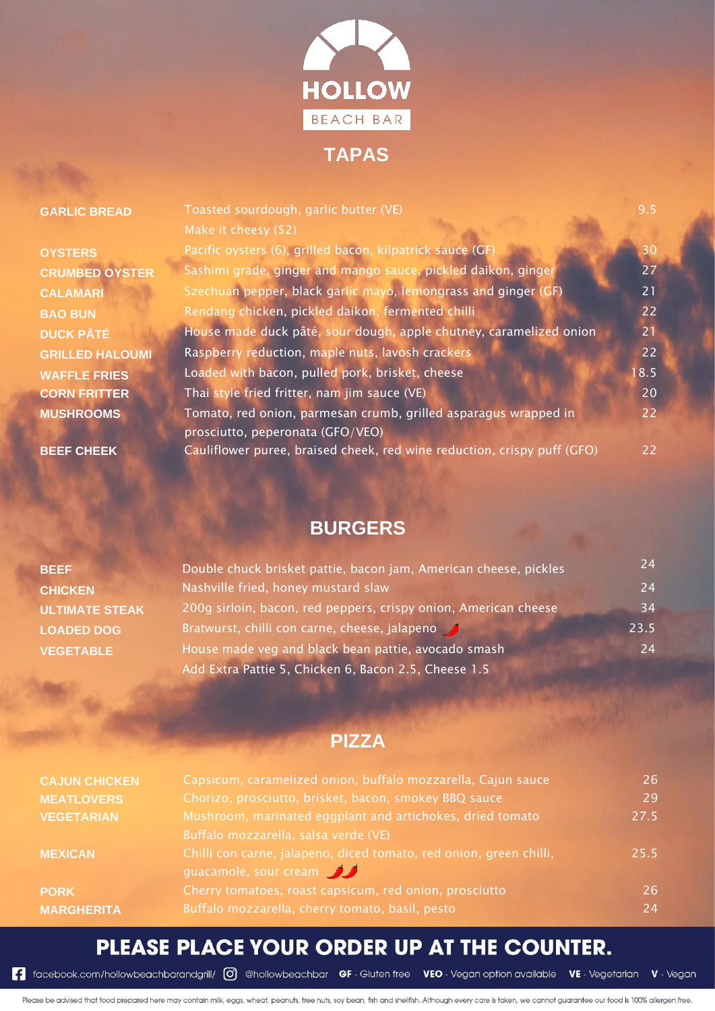

#### GARLIC BREAD Toasted sourdough, garlic butter (VE) 8.5

Make it cheesy (\$2) **OYSTERS** Pacific oysters (6), grilled bacon, kilpatrick sauce (GF) **Pacific 2019** 30 **CRUMBED OYSTER** Sashimi grade, ginger and mango sauce, pickled daikon, ginger 27 **CALAMARI** Szechuan pepper, black garlic mayo, lemongrass and ginger (GF) 21 **BAO BUN** Rendang chicken, pickled daikon, fermented chilli **1999 COVID-1999** 22 **DUCK PÂTÉ** House made duck pâté, sour dough, apple chutney, caramelized onion 21 **GRILLED HALOUMI** Raspberry reduction, maple nuts, lavosh crackers **CRILLED HALOUMI** 22 **WAFFLE FRIES** Loaded with bacon, pulled pork, brisket, cheese 18.5 **CORN FRITTER** Thai style fried fritter, nam jim sauce (VE) **The CORN FRITTER** 20 **MUSHROOMS** Tomato, red onion, parmesan crumb, grilled asparagus wrapped in prosciutto, peperonata (GFO/VEO) 22 **BEEF CHEEK** Cauliflower puree, braised cheek, red wine reduction, crispy puff (GFO) 22

#### **BURGERS**

| <b>BEEF</b>           | Double chuck brisket pattie, bacon jam, American cheese, pickles | 24   |
|-----------------------|------------------------------------------------------------------|------|
| <b>CHICKEN</b>        | Nashville fried, honey mustard slaw                              | 24   |
| <b>ULTIMATE STEAK</b> | 200g sirloin, bacon, red peppers, crispy onion, American cheese  | 34   |
| <b>LOADED DOG</b>     | Bratwurst, chilli con carne, cheese, jalapeno                    | 23.5 |
| <b>VEGETABLE</b>      | House made veg and black bean pattie, avocado smash              | 24   |
|                       | Add Extra Pattie 5, Chicken 6, Bacon 2.5, Cheese 1.5             |      |

#### **PIZZA**

| <b>CAJUN CHICKEN</b> | Capsicum, caramelized onion, buffalo mozzarella, Cajun sauce                                | 26   |
|----------------------|---------------------------------------------------------------------------------------------|------|
| <b>MEATLOVERS</b>    | Chorizo, prosciutto, brisket, bacon, smokey BBQ sauce                                       | 29   |
| <b>VEGETARIAN</b>    | Mushroom, marinated eggplant and artichokes, dried tomato                                   | 27.5 |
|                      | Buffalo mozzarella, salsa verde (VE)                                                        |      |
| <b>MEXICAN</b>       | Chilli con carne, jalapeno, diced tomato, red onion, green chilli,<br>guacamole, sour cream | 25.5 |
| <b>PORK</b>          | Cherry tomatoes, roast capsicum, red onion, prosciutto                                      | 26   |
| <b>MARGHERITA</b>    | Buffalo mozzarella, cherry tomato, basil, pesto                                             | 24   |

## PLEASE PLACE YOUR ORDER UP AT THE COUNTER.

Facebook.com/hollowbeachbarandgrill/ (0) @hollowbeachbar GF-Gluten free VEO-Vegan option available VE-Vegetarian V-Vegan

Please be advised that food prepared here may contain milk, eggs, wheat, peanuts, tree nuts, soy bean, fish and shellfish. Although every care is taken, we cannot guarantee our food is 100% allergen free.